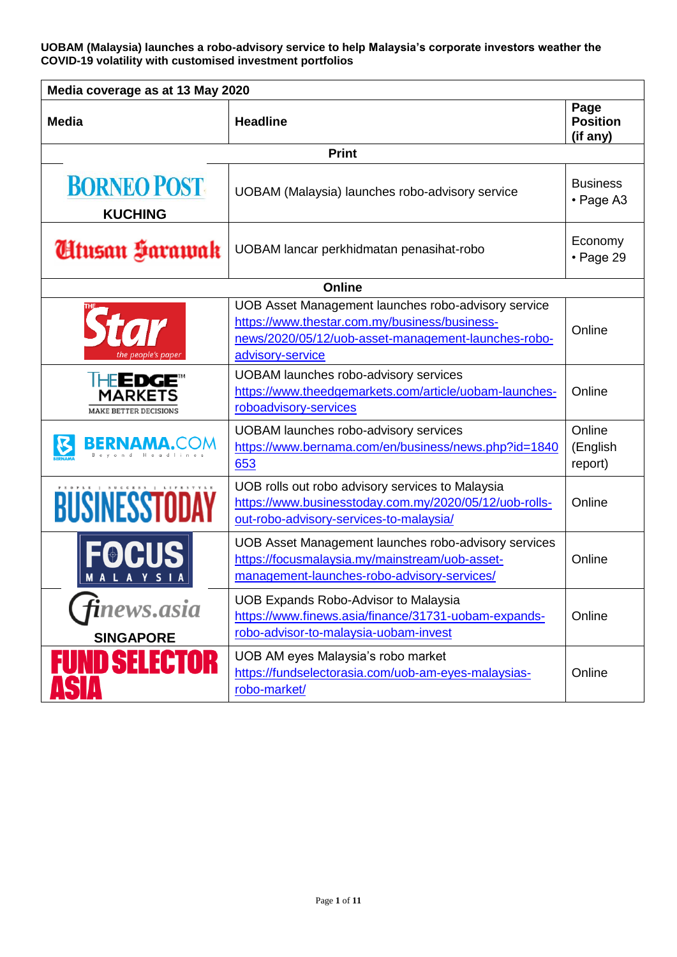| Media coverage as at 13 May 2020                                        |                                                                                                                                                                                 |                                     |  |
|-------------------------------------------------------------------------|---------------------------------------------------------------------------------------------------------------------------------------------------------------------------------|-------------------------------------|--|
| Media                                                                   | <b>Headline</b>                                                                                                                                                                 | Page<br><b>Position</b><br>(if any) |  |
|                                                                         | <b>Print</b>                                                                                                                                                                    |                                     |  |
| <b>BORNEO POST</b><br><b>KUCHING</b>                                    | UOBAM (Malaysia) launches robo-advisory service                                                                                                                                 | <b>Business</b><br>• Page A3        |  |
| Utusan Harawak                                                          | UOBAM lancar perkhidmatan penasihat-robo                                                                                                                                        | Economy<br>• Page 29                |  |
|                                                                         | <b>Online</b>                                                                                                                                                                   |                                     |  |
| the people's paper                                                      | UOB Asset Management launches robo-advisory service<br>https://www.thestar.com.my/business/business-<br>news/2020/05/12/uob-asset-management-launches-robo-<br>advisory-service | Online                              |  |
| THE <b>EDGE</b> <sup>"</sup><br>MARKETS<br><b>MAKE BETTER DECISIONS</b> | <b>UOBAM launches robo-advisory services</b><br>https://www.theedgemarkets.com/article/uobam-launches-<br>roboadvisory-services                                                 | Online                              |  |
| <b>BERNAMA.COM</b>                                                      | <b>UOBAM launches robo-advisory services</b><br>https://www.bernama.com/en/business/news.php?id=1840<br>653                                                                     | Online<br>(English<br>report)       |  |
| <b>BUSINESSTODAY</b>                                                    | UOB rolls out robo advisory services to Malaysia<br>https://www.businesstoday.com.my/2020/05/12/uob-rolls-<br>out-robo-advisory-services-to-malaysia/                           | Online                              |  |
| <b>FOCUS</b>                                                            | UOB Asset Management launches robo-advisory services<br>https://focusmalaysia.my/mainstream/uob-asset-<br>management-launches-robo-advisory-services/                           | Online                              |  |
| inews.asia<br><b>SINGAPORE</b>                                          | <b>UOB Expands Robo-Advisor to Malaysia</b><br>https://www.finews.asia/finance/31731-uobam-expands-<br>robo-advisor-to-malaysia-uobam-invest                                    | Online                              |  |
| <b>IND SELECTOR</b>                                                     | UOB AM eyes Malaysia's robo market<br>https://fundselectorasia.com/uob-am-eyes-malaysias-<br>robo-market/                                                                       | Online                              |  |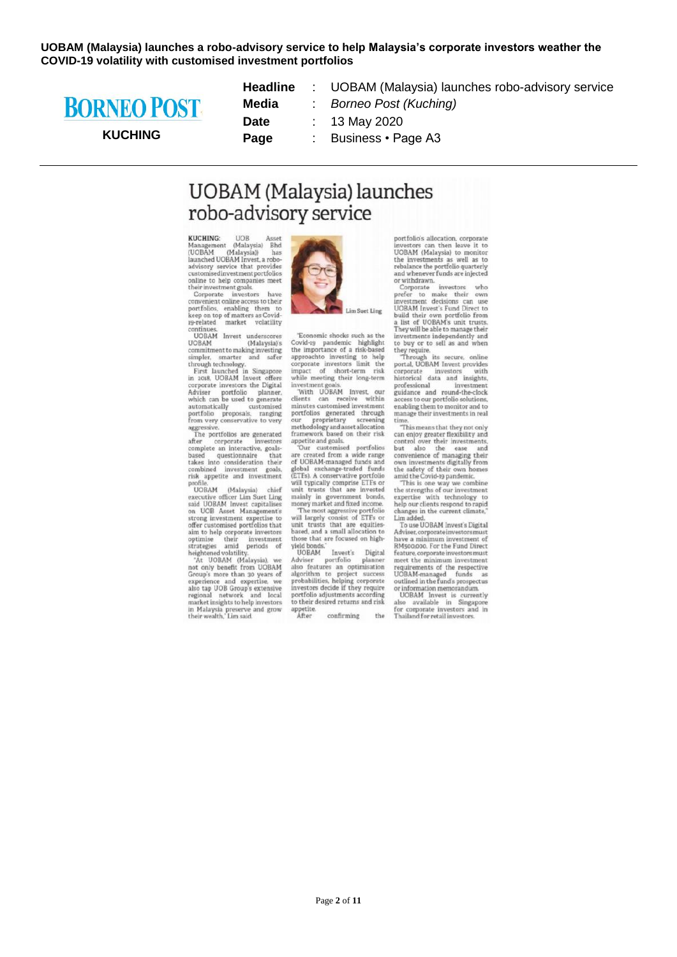

#### **KUCHING**

| <b>Headline</b> |  |
|-----------------|--|
| Media           |  |
| Date            |  |
| Page            |  |

UOBAM (Malaysia) launches robo-advisory service **Borneo Post (Kuching)** 13 May 2020 Business · Page A3

## **UOBAM** (Malaysia) launches robo-advisory service

KUCHING: HOP MOCHING: UOB Asset<br>Management (Malaysia) Bhd<br>(UOBAM (Malaysia)) has<br>launched UOBAM Invest, a robolaunched UOBAM Invest, a robo-<br>advisory service that provides<br>customisedinvestmentportfolios<br>customisedinvestmentportfolios<br>their investment goals.<br>Corporate investors have<br>convenient online access to their

portfolios, enabling them to<br>keep on top of matters as Covid-<br>19-related market volatility continues.<br>UOBAM Invest underscores

**UOBAM** (Malaysia)'s (Malaysia)'s<br>
commitment to making investing<br>
simpler, smarter and safer<br>
through technology.<br>
First launched in Singapore<br>
in 2018, UOBAM Invest offers

In 2010, OODAPI invest offers<br>corporate investors the Digital<br>Adviser portfolio planner,<br>which can be used to generate what can be used to generate<br>automatically customised<br>portfolio proposals, ranging<br>from very conservative to very<br>aggressive.<br>The portfolios are generated

after corporate investors<br>complete an interactive, goalsbased questionnaire that<br>takes into consideration their<br>combined investment goals,<br>risk appetite and investment profile

profile.<br>UOBAM (Malaysia) chief<br>UOBAM (Malaysia) chief<br>said UOBAM Invest capitalises<br>on UOB Asset Management's<br>strong investment expertise to<br>offer customised portfolios that offer customised portfoliois that<br>aim to help corporate investors<br>optimise their investment<br>strategies amid periods of<br>heightened volatility.<br>At UOBAM (Malaysia), we

At observe text of the Search of the Search of the Search Search<br>Search Search Search Search Search Andrew Search Search<br>Search Search Search Search Search Search Search Search Search Search Search Search Search Search Sea regional network and local<br>market insights to help investors<br>in Malaysia preserve and grow<br>their wealth," Lim said.



Lim Suet Ling

 $\label{prop:conv} \begin{minipage}{.4\linewidth} \textbf{Economic shocks such as the} \\ \textbf{Covid-19}\quad \textbf{pandemic} \quad \textbf{highlight} \\ \textbf{the importance of a risk-based} \end{minipage}$ the importance or a risk-passed<br>corporate investors limit the<br>corporate investors limit the<br>impact of short-term risk<br>while meeting their long-term

investment goals.<br>"With UOBAM Invest, our clients can receive within<br>minutes customised investment portfolios generated through

portfolios generated through<br>or proprietary screening<br>methodology and asset allocation<br>framework based on their risk<br>appetite and goals.<br>Tour customised portfolios<br>are created from a wide range<br>of UOBAM-managed funds<br>and g

unit trusts that are invested<br>money market and fixed income.<br>The most aggressive portfolio<br>will largely consist of ETFs or<br>unit trusts that are equites-<br>based, and a small allocation to those that are focused on high-<br>yield bonds."<br>UOBAM Invest's Digital<br>Adviser portfolio planner

UOBAM invests Digital<br>Adviser portfolio planner<br>also features an optimisation<br>algorithm to project success<br>probabilities, helping corporate<br>investors decide if they require<br>portfolio adjustments according<br>total disk  $\begin{tabular}{p{0.8cm}p{0.8cm}}\hline \begin{tabular}{p{0.8cm}p{0.8cm}}\hline \begin{tabular}{p{0.8cm}p{0.8cm}}\hline \begin{tabular}{p{0.8cm}p{0.8cm}}\hline \begin{tabular}{p{0.8cm}p{0.8cm}}\hline \begin{tabular}{p{0.8cm}p{0.8cm}}\hline \begin{tabular}{p{0.8cm}p{0.8cm}}\hline \begin{tabular}{p{0.8cm}p{0.8cm}}\hline \begin{tabular}{p{0.8cm}p{0.8cm}}\hline \begin{tabular}{p{0.8cm}$ to their desired returns and risk appetite.<br>After

portfolio's allocation, corporate portionos anocation, corporate<br>investors can then leave it to<br>UOBAM (Malaysia) to monitor<br>the investments as well as to<br>rebalance the portfolio quarterly

rebalance the portfolio quarterly<br>and whenever funds are injected<br>or withdrawn.<br>Corporate investors who<br>prefer to make their own<br>investment decisions can use<br>UOBAM invest is Fund Direct to<br>build their own portfolio from<br>a investments independently and<br>to buy or to sell as and when

to buy or to sell as and when<br>they require.<br>Through its secure, online<br>portal, UOBAM Invest provides<br>corporate investors with<br>historical data and insights, professional invastmant professional investment<br>guidance and round-the-clock<br>access to our portfolio solutions,<br>enabling them to monitor and to manage their investments in real

manage their investments in real<br>time.<br>This means that they not only<br>can enjoy greater flexibility and<br>control over their investments,<br>but also the ease and<br>convenience of managing their<br>own investments digitally from<br>the

amid the Covid-19 pandemic.<br>This is one way we combine<br>the strengths of our investment<br>expertise with technology to<br>help our clients respond to rapid<br>their and the current climate."<br>To use UOBAM Invest's Digital

To use of open invest's Ligacian<br>Adviser, corporate investment of<br>RM500,000. For the Fund Direct feature, corporate investors must meet the minimum investment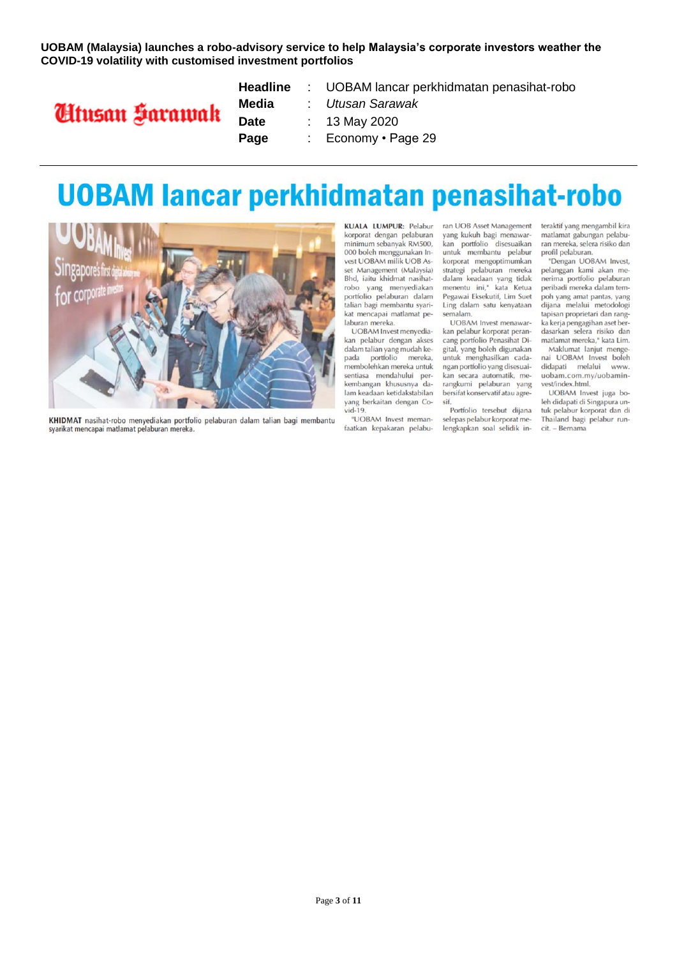

|       | <b>Headline</b> : UOBAM lancar perkhidmatan penasihat-robo |
|-------|------------------------------------------------------------|
| Media | : Utusan Sarawak                                           |
| Date  | : 13 May 2020                                              |
| Page  | : Economy $\cdot$ Page 29                                  |

## **UOBAM lancar perkhidmatan penasihat-robo**



KHIDMAT nasihat-robo menyediakan portfolio pelaburan dalam talian bagi membantu syarikat mencapai matlamat pelaburan mereka.

**KUALA LUMPUR: Pelabur** korporat dengan pelaburan minimum sebanyak RM500, 000 boleh menggunakan Invest UOBAM milik UOB Asset Management (Malaysia) Bhd, iaitu khidmat nasihatrobo yang menyediakan portfolio pelaburan dalam talian bagi membantu syarikat mencapai matlamat pelaburan mereka.

UOBAM Invest menyediakan pelabur dengan akses dalam talian yang mudah kepada portfolio mereka, .<br>membolehkan mereka untuk sentiasa mendahului perkembangan khususnya dalam keadaan ketidakstabilan yang berkaitan dengan Co $vid-19$ 

"UOBAM Invest memanfaatkan kepakaran pelaburan UOB Asset Management yang kukuh bagi menawarkan portfolio disesuaikan<br>untuk membantu pelabur korporat mengoptimumkan strategi pelaburan mereka<br>dalam keadaan yang tidak menentu ini," kata Ketua Pegawai Eksekutif, Lim Suet Ling dalam satu kenyataan semalam.

UOBAM Invest menawarkan pelabur korporat perancang portfolio Penasihat Digital, yang boleh digunakan untuk menghasilkan cadangan portfolio yang disesuaikan secara automatik, merangkumi pelaburan yang bersifat konservatif atau agresif.

Portfolio tersebut dijana selepas pelabur korporat melengkapkan soal selidik interaktif yang mengambil kira matlamat gabungan pelaburan mereka, selera risiko dan profil pelaburan.

"Dengan UOBAM Invest, pelanggan kami akan menerima portfolio pelaburan peribadi mereka dalam tempoh yang amat pantas, yang dijana melalui metodologi tapisan proprietari dan rangka kerja pengagihan aset berdasarkan selera risiko dan matlamat mereka." kata Lim.

Maklumat lanjut menge nai UOBAM Invest boleh didapati melalui www. uobam.com.my/uobaminvest/index.html.

UOBAM Invest juga boleh didapati di Singapura untuk pelabur korporat dan di Thailand bagi pelabur runcit. - Bernama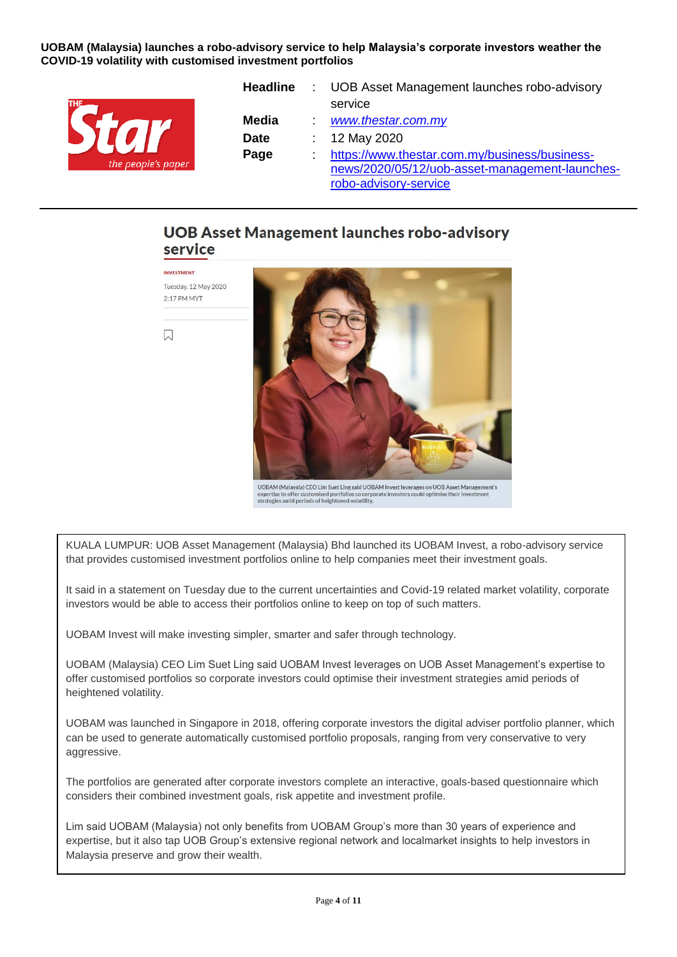

| Headline     | : UOB Asset Management launches robo-advisory  |
|--------------|------------------------------------------------|
|              | service                                        |
| <b>Media</b> | www.thestar.com.my                             |
| <b>Date</b>  | : $12$ May 2020                                |
| Page         | https://www.thestar.com.my/business/business-  |
|              | news/2020/05/12/uob-asset-management-launches- |
|              | robo-advisory-service                          |

### **UOB Asset Management launches robo-advisory** service



UOBAM (Malaysia) CEO Lim Suet Ling said UOBAM Invest leverages on UOB Asset Management's<br>expertise to offer customised portfolios so corporate investors could optimise their investment<br>strategies amid periods of heightened

KUALA LUMPUR: UOB Asset Management (Malaysia) Bhd launched its UOBAM Invest, a robo-advisory service that provides customised investment portfolios online to help companies meet their investment goals.

It said in a statement on Tuesday due to the current uncertainties and Covid-19 related market volatility, corporate investors would be able to access their portfolios online to keep on top of such matters.

UOBAM Invest will make investing simpler, smarter and safer through technology.

UOBAM (Malaysia) CEO Lim Suet Ling said UOBAM Invest leverages on UOB Asset Management's expertise to offer customised portfolios so corporate investors could optimise their investment strategies amid periods of heightened volatility.

UOBAM was launched in Singapore in 2018, offering corporate investors the digital adviser portfolio planner, which can be used to generate automatically customised portfolio proposals, ranging from very conservative to very aggressive.

The portfolios are generated after corporate investors complete an interactive, goals-based questionnaire which considers their combined investment goals, risk appetite and investment profile.

Lim said UOBAM (Malaysia) not only benefits from UOBAM Group's more than 30 years of experience and expertise, but it also tap UOB Group's extensive regional network and localmarket insights to help investors in Malaysia preserve and grow their wealth.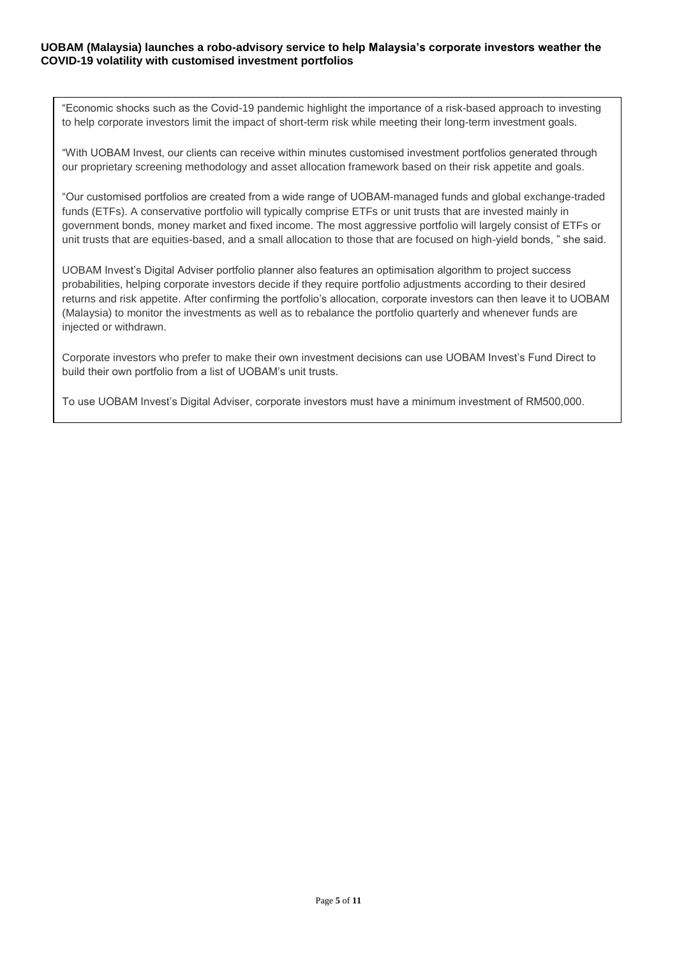"Economic shocks such as the Covid-19 pandemic highlight the importance of a risk-based approach to investing to help corporate investors limit the impact of short-term risk while meeting their long-term investment goals.

"With UOBAM Invest, our clients can receive within minutes customised investment portfolios generated through our proprietary screening methodology and asset allocation framework based on their risk appetite and goals.

"Our customised portfolios are created from a wide range of UOBAM-managed funds and global exchange-traded funds (ETFs). A conservative portfolio will typically comprise ETFs or unit trusts that are invested mainly in government bonds, money market and fixed income. The most aggressive portfolio will largely consist of ETFs or unit trusts that are equities-based, and a small allocation to those that are focused on high-yield bonds, " she said.

UOBAM Invest's Digital Adviser portfolio planner also features an optimisation algorithm to project success probabilities, helping corporate investors decide if they require portfolio adjustments according to their desired returns and risk appetite. After confirming the portfolio's allocation, corporate investors can then leave it to UOBAM (Malaysia) to monitor the investments as well as to rebalance the portfolio quarterly and whenever funds are injected or withdrawn.

Corporate investors who prefer to make their own investment decisions can use UOBAM Invest's Fund Direct to build their own portfolio from a list of UOBAM's unit trusts.

To use UOBAM Invest's Digital Adviser, corporate investors must have a minimum investment of RM500,000.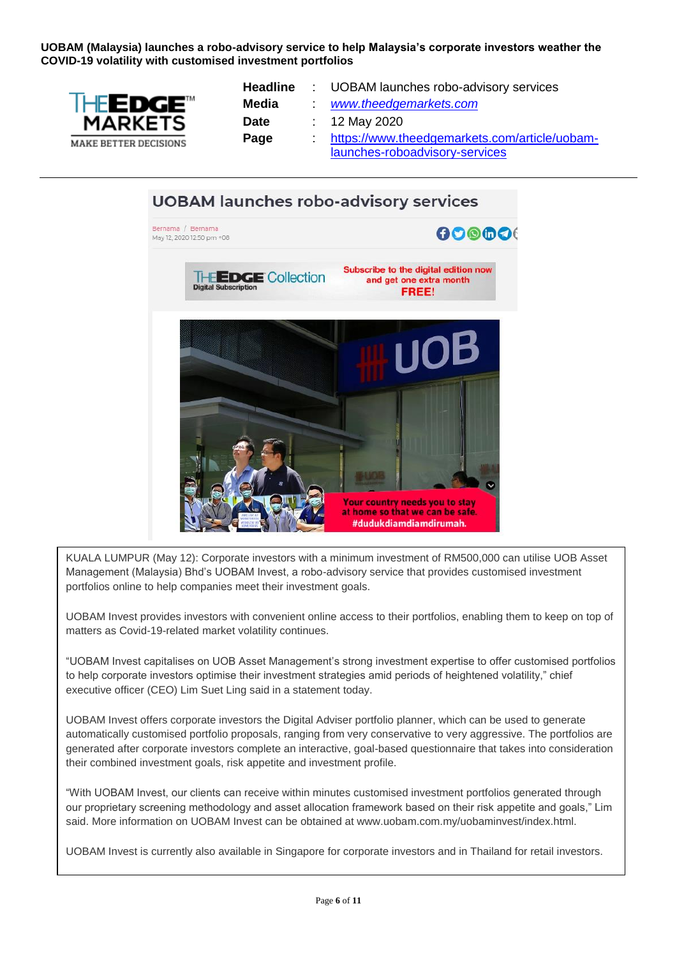

| <b>Headline</b> | : UOBAM launches robo-advisory services       |
|-----------------|-----------------------------------------------|
| <b>Media</b>    | www.theedgemarkets.com                        |
| <b>Date</b>     | : 12 May 2020                                 |
| Page            | https://www.theedgemarkets.com/article/uobam- |
|                 | launches-roboadvisory-services                |



KUALA LUMPUR (May 12): Corporate investors with a minimum investment of RM500,000 can utilise UOB Asset Management (Malaysia) Bhd's UOBAM Invest, a robo-advisory service that provides customised investment portfolios online to help companies meet their investment goals.

UOBAM Invest provides investors with convenient online access to their portfolios, enabling them to keep on top of matters as Covid-19-related market volatility continues.

"UOBAM Invest capitalises on UOB Asset Management's strong investment expertise to offer customised portfolios to help corporate investors optimise their investment strategies amid periods of heightened volatility," chief executive officer (CEO) Lim Suet Ling said in a statement today.

UOBAM Invest offers corporate investors the Digital Adviser portfolio planner, which can be used to generate automatically customised portfolio proposals, ranging from very conservative to very aggressive. The portfolios are generated after corporate investors complete an interactive, goal-based questionnaire that takes into consideration their combined investment goals, risk appetite and investment profile.

"With UOBAM Invest, our clients can receive within minutes customised investment portfolios generated through our proprietary screening methodology and asset allocation framework based on their risk appetite and goals," Lim said. More information on UOBAM Invest can be obtained at www.uobam.com.my/uobaminvest/index.html.

UOBAM Invest is currently also available in Singapore for corporate investors and in Thailand for retail investors.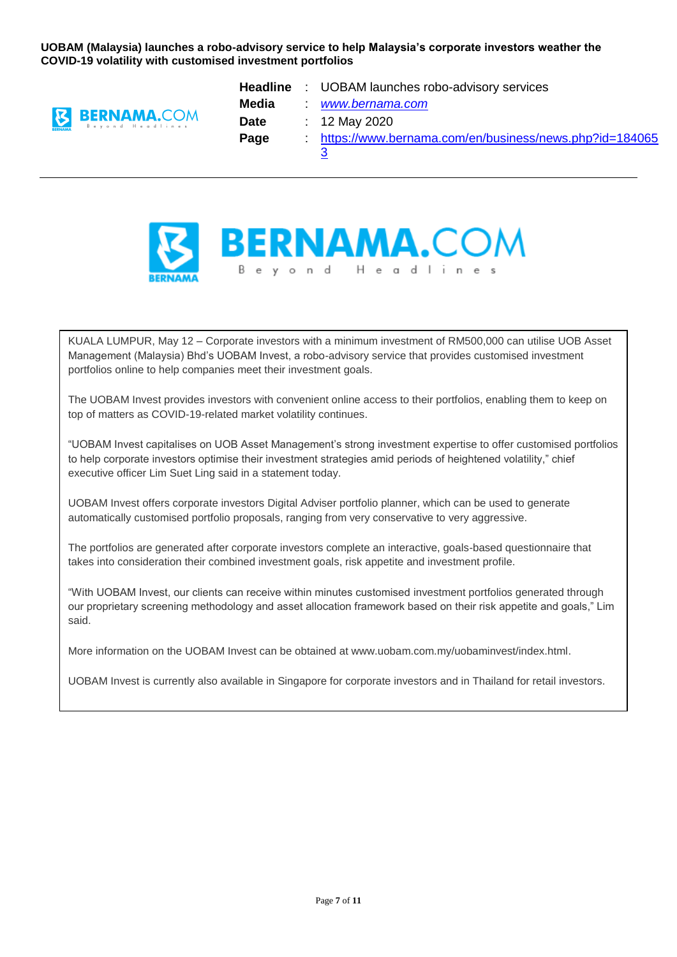

|             | <b>Headline</b> : UOBAM launches robo-advisory services |
|-------------|---------------------------------------------------------|
| Media       | www.bernama.com                                         |
| <b>Date</b> | : 12 May 2020                                           |
| Page        | https://www.bernama.com/en/business/news.php?id=184065  |
|             | 3                                                       |



KUALA LUMPUR, May 12 – Corporate investors with a minimum investment of RM500,000 can utilise UOB Asset Management (Malaysia) Bhd's UOBAM Invest, a robo-advisory service that provides customised investment portfolios online to help companies meet their investment goals.

The UOBAM Invest provides investors with convenient online access to their portfolios, enabling them to keep on top of matters as COVID-19-related market volatility continues.

"UOBAM Invest capitalises on UOB Asset Management's strong investment expertise to offer customised portfolios to help corporate investors optimise their investment strategies amid periods of heightened volatility," chief executive officer Lim Suet Ling said in a statement today.

UOBAM Invest offers corporate investors Digital Adviser portfolio planner, which can be used to generate automatically customised portfolio proposals, ranging from very conservative to very aggressive.

The portfolios are generated after corporate investors complete an interactive, goals-based questionnaire that takes into consideration their combined investment goals, risk appetite and investment profile.

"With UOBAM Invest, our clients can receive within minutes customised investment portfolios generated through our proprietary screening methodology and asset allocation framework based on their risk appetite and goals," Lim said.

More information on the UOBAM Invest can be obtained at www.uobam.com.my/uobaminvest/index.html.

UOBAM Invest is currently also available in Singapore for corporate investors and in Thailand for retail investors.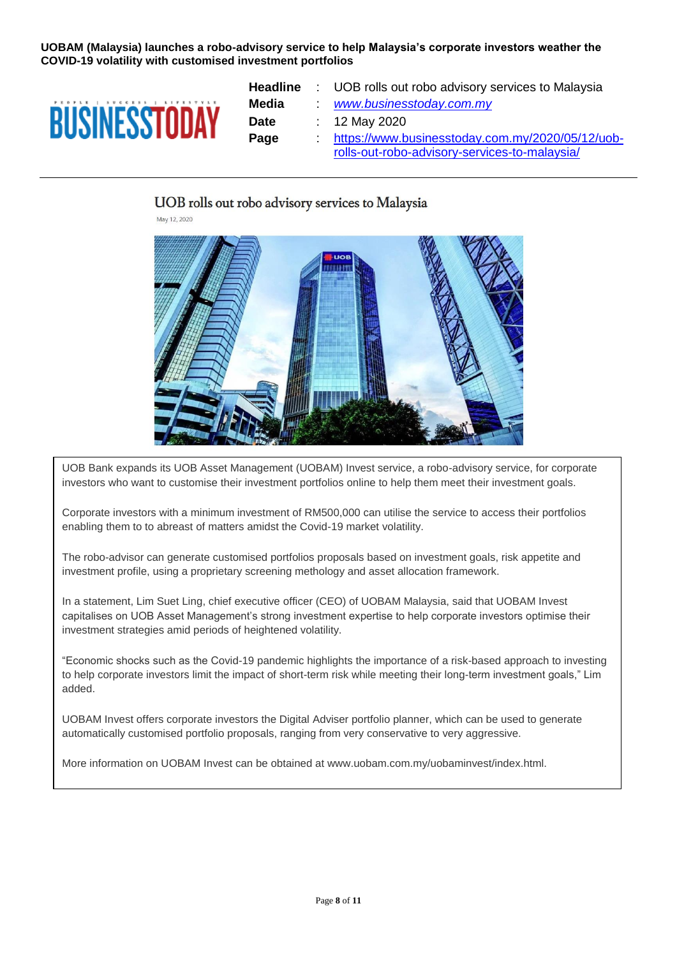

| <b>Headline</b> | : UOB rolls out robo advisory services to Malaysia |
|-----------------|----------------------------------------------------|
| Media           | www.businesstoday.com.my                           |
| <b>Date</b>     | : 12 May 2020                                      |
| Page            | https://www.businesstoday.com.my/2020/05/12/uob-   |
|                 | rolls-out-robo-advisory-services-to-malaysia/      |

#### UOB rolls out robo advisory services to Malaysia

May 12, 2020



UOB Bank expands its UOB Asset Management (UOBAM) Invest service, a robo-advisory service, for corporate investors who want to customise their investment portfolios online to help them meet their investment goals.

Corporate investors with a minimum investment of RM500,000 can utilise the service to access their portfolios enabling them to to abreast of matters amidst the Covid-19 market volatility.

The robo-advisor can generate customised portfolios proposals based on investment goals, risk appetite and investment profile, using a proprietary screening methology and asset allocation framework.

In a statement, Lim Suet Ling, chief executive officer (CEO) of UOBAM Malaysia, said that UOBAM Invest capitalises on UOB Asset Management's strong investment expertise to help corporate investors optimise their investment strategies amid periods of heightened volatility.

"Economic shocks such as the Covid-19 pandemic highlights the importance of a risk-based approach to investing to help corporate investors limit the impact of short-term risk while meeting their long-term investment goals," Lim added.

UOBAM Invest offers corporate investors the Digital Adviser portfolio planner, which can be used to generate automatically customised portfolio proposals, ranging from very conservative to very aggressive.

More information on UOBAM Invest can be obtained at www.uobam.com.my/uobaminvest/index.html.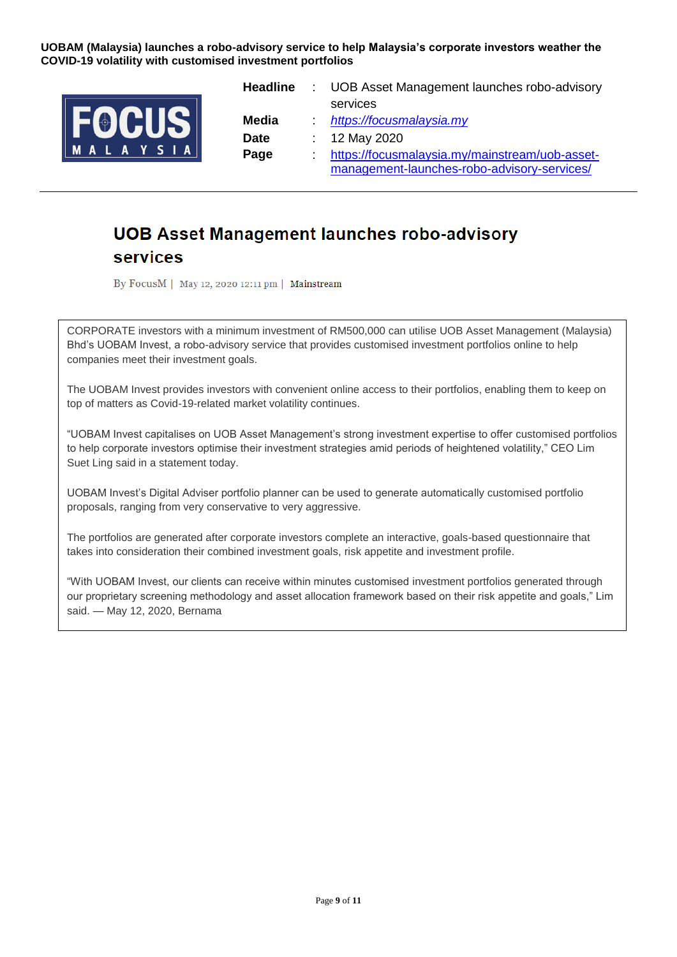

| Headline    | : UOB Asset Management launches robo-advisory  |
|-------------|------------------------------------------------|
|             | services                                       |
| Media       | https://focusmalaysia.my                       |
| <b>Date</b> | : 12 May 2020                                  |
| Page        | https://focusmalaysia.my/mainstream/uob-asset- |
|             | management-launches-robo-advisory-services/    |

## **UOB Asset Management launches robo-advisory** services

By FocusM | May 12, 2020 12:11 pm | Mainstream

CORPORATE investors with a minimum investment of RM500,000 can utilise UOB Asset Management (Malaysia) Bhd's UOBAM Invest, a robo-advisory service that provides customised investment portfolios online to help companies meet their investment goals.

The UOBAM Invest provides investors with convenient online access to their portfolios, enabling them to keep on top of matters as Covid-19-related market volatility continues.

"UOBAM Invest capitalises on UOB Asset Management's strong investment expertise to offer customised portfolios to help corporate investors optimise their investment strategies amid periods of heightened volatility," CEO Lim Suet Ling said in a statement today.

UOBAM Invest's Digital Adviser portfolio planner can be used to generate automatically customised portfolio proposals, ranging from very conservative to very aggressive.

The portfolios are generated after corporate investors complete an interactive, goals-based questionnaire that takes into consideration their combined investment goals, risk appetite and investment profile.

"With UOBAM Invest, our clients can receive within minutes customised investment portfolios generated through our proprietary screening methodology and asset allocation framework based on their risk appetite and goals," Lim said. — May 12, 2020, Bernama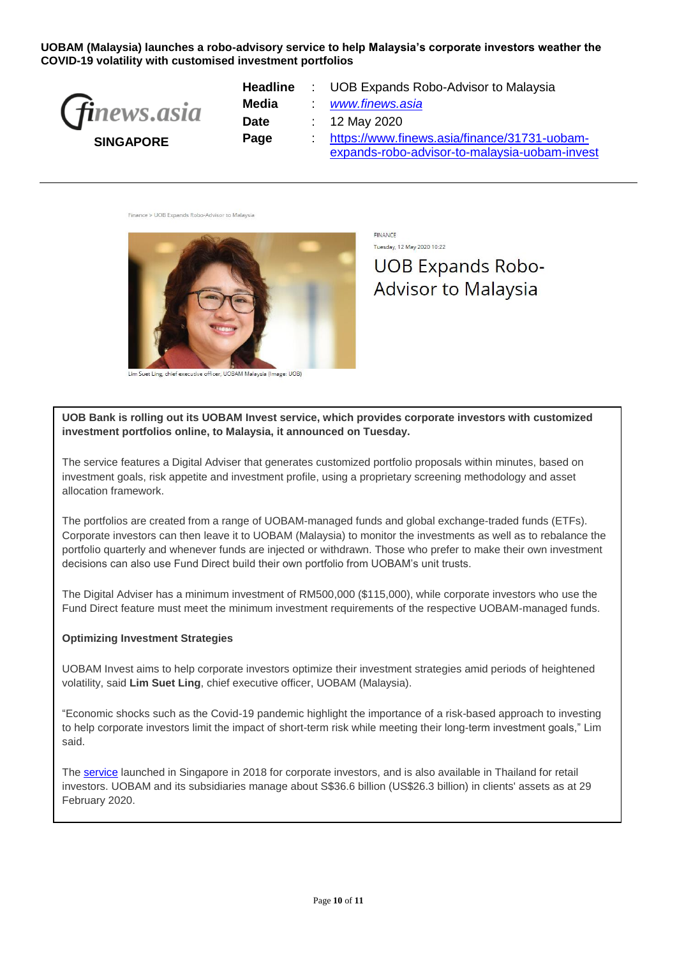| <i>(finews.asia</i> |
|---------------------|
| <b>SINGAPORE</b>    |

| <b>Headline</b> | : UOB Expands Robo-Advisor to Malaysia        |
|-----------------|-----------------------------------------------|
| Media           | www.finews.asia                               |
| <b>Date</b>     | : 12 May 2020                                 |
| Page            | https://www.finews.asia/finance/31731-uobam-  |
|                 | expands-robo-advisor-to-malaysia-uobam-invest |

Finance > UOB Expands Robo-Advisor to Malaysia



cutive officer, UOBAM Malaysia (Image: UOB)

FINANCE Tuesday, 12 May 2020 10:22 **UOB Expands Robo-Advisor to Malaysia** 

**UOB Bank is rolling out its UOBAM Invest service, which provides corporate investors with customized investment portfolios online, to Malaysia, it announced on Tuesday.**

The service features a Digital Adviser that generates customized portfolio proposals within minutes, based on investment goals, risk appetite and investment profile, using a proprietary screening methodology and asset allocation framework.

The portfolios are created from a range of UOBAM-managed funds and global exchange-traded funds (ETFs). Corporate investors can then leave it to UOBAM (Malaysia) to monitor the investments as well as to rebalance the portfolio quarterly and whenever funds are injected or withdrawn. Those who prefer to make their own investment decisions can also use Fund Direct build their own portfolio from UOBAM's unit trusts.

The Digital Adviser has a minimum investment of RM500,000 (\$115,000), while corporate investors who use the Fund Direct feature must meet the minimum investment requirements of the respective UOBAM-managed funds.

#### **Optimizing Investment Strategies**

UOBAM Invest aims to help corporate investors optimize their investment strategies amid periods of heightened volatility, said **Lim Suet Ling**, chief executive officer, UOBAM (Malaysia).

"Economic shocks such as the Covid-19 pandemic highlight the importance of a risk-based approach to investing to help corporate investors limit the impact of short-term risk while meeting their long-term investment goals," Lim said.

The [service](https://www.uobam.com.my/uobaminvest/index.html) launched in Singapore in 2018 for corporate investors, and is also available in Thailand for retail investors. UOBAM and its subsidiaries manage about S\$36.6 billion (US\$26.3 billion) in clients' assets as at 29 February 2020.